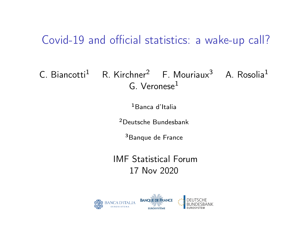#### Covid-19 and official statistics: a wake-up call?

#### C. Biancotti<sup>1</sup> R. Kirchner<sup>2</sup> F. Mouriaux<sup>3</sup> A. Rosolia<sup>1</sup>  $G.$  Veronese $<sup>1</sup>$ </sup>

<sup>1</sup>Banca d'Italia

<sup>2</sup>Deutsche Bundesbank

<sup>3</sup>Banque de France

IMF Statistical Forum 17 Nov 2020

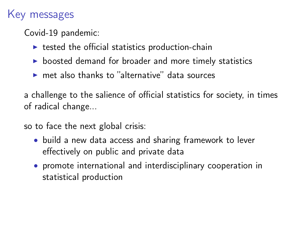#### Key messages

Covid-19 pandemic:

- $\triangleright$  tested the official statistics production-chain
- $\triangleright$  boosted demand for broader and more timely statistics
- $\triangleright$  met also thanks to "alternative" data sources

a challenge to the salience of official statistics for society, in times of radical change...

so to face the next global crisis:

- build a new data access and sharing framework to lever effectively on public and private data
- promote international and interdisciplinary cooperation in statistical production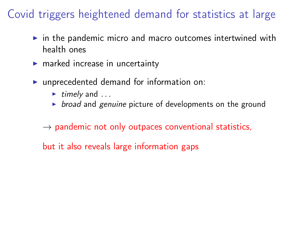# Covid triggers heightened demand for statistics at large

- $\triangleright$  in the pandemic micro and macro outcomes intertwined with health ones
- $\blacktriangleright$  marked increase in [uncertainty](#page-17-0)
- $\blacktriangleright$  unprecedented demand for information on:
	- $\blacktriangleright$  timely and ...
	- $\triangleright$  broad and genuine picture of developments on the ground
	- $\rightarrow$  pandemic not only outpaces conventional statistics,
	- but it also reveals large information gaps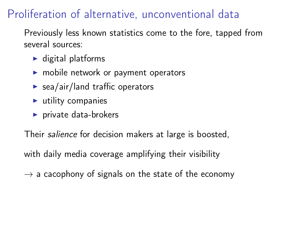# Proliferation of alternative, unconventional data

Previously less known statistics come to the fore, tapped from several sources:

- $\blacktriangleright$  digital platforms
- $\blacktriangleright$  mobile network or payment operators
- $\blacktriangleright$  sea/air/land traffic operators
- $\blacktriangleright$  utility companies
- $\blacktriangleright$  private data-brokers

Their salience for decision makers at large is boosted,

with daily media coverage amplifying their visibility

 $\rightarrow$  a cacophony of signals on the state of the economy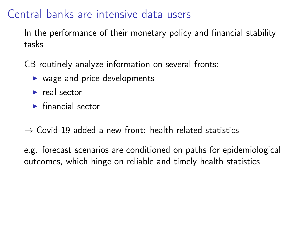#### Central banks are intensive data users

In the performance of their monetary policy and financial stability tasks

CB routinely analyze information on several fronts:

- $\triangleright$  wage and price developments
- $\blacktriangleright$  real sector
- $\blacktriangleright$  financial sector
- $\rightarrow$  Covid-19 added a new front: health related statistics

e.g. forecast scenarios are conditioned on paths for epidemiological outcomes, which hinge on reliable and timely health statistics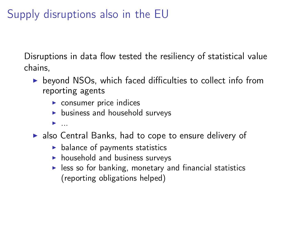# Supply disruptions also in the EU

Disruptions in data flow tested the resiliency of statistical value chains,

- $\triangleright$  beyond NSOs, which faced difficulties to collect info from reporting agents
	- $\triangleright$  consumer price indices
	- $\blacktriangleright$  business and household surveys
	- $\blacktriangleright$  ...
- $\triangleright$  also Central Banks, had to cope to ensure delivery of
	- $\blacktriangleright$  balance of payments statistics
	- $\blacktriangleright$  household and business surveys
	- $\blacktriangleright$  less so for banking, monetary and financial statistics (reporting obligations helped)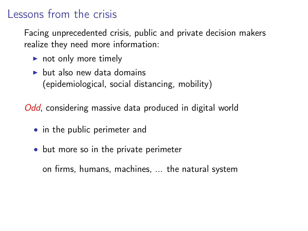#### Lessons from the crisis

Facing unprecedented crisis, public and private decision makers realize they need more information:

- $\blacktriangleright$  not only more timely
- $\blacktriangleright$  but also new data domains (epidemiological, social distancing, mobility)

Odd, considering massive data produced in digital world

- in the public perimeter and
- but more so in the private perimeter

on firms, humans, machines, ... the natural system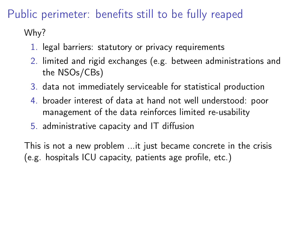# Public perimeter: benefits still to be fully reaped

Why?

- 1. legal barriers: statutory or privacy requirements
- 2. limited and rigid exchanges (e.g. between administrations and the NSOs/CBs)
- 3. data not immediately serviceable for statistical production
- 4. broader interest of data at hand not well understood: poor management of the data reinforces limited re-usability
- 5. administrative capacity and IT diffusion

This is not a new problem ...it just became concrete in the crisis (e.g. hospitals ICU capacity, patients age profile, etc.)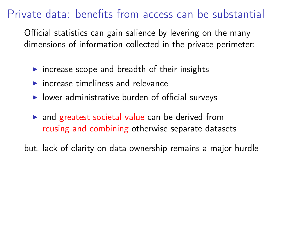### Private data: benefits from access can be substantial

Official statistics can gain salience by levering on the many dimensions of information collected in the private perimeter:

- $\triangleright$  increase scope and breadth of their insights
- $\blacktriangleright$  increase timeliness and relevance
- $\blacktriangleright$  lower administrative burden of official surveys
- $\triangleright$  and greatest societal value can be derived from reusing and combining otherwise separate datasets

but, lack of clarity on data ownership remains a major hurdle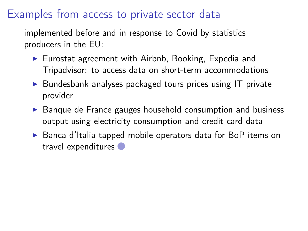#### Examples from access to private sector data

implemented before and in response to Covid by statistics producers in the EU:

- <span id="page-9-0"></span> $\blacktriangleright$  Eurostat agreement with Airbnb, Booking, Expedia and Tripadvisor: to access data on short-term accommodations
- $\triangleright$  Bundesbank analyses packaged tours prices using IT private provider
- $\triangleright$  Banque de France gauges household consumption and business output using electricity consumption and credit card data
- ► Banca d'Italia tapped mobile operators data for BoP items on travel expenditures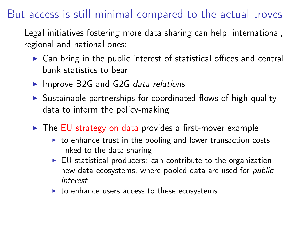#### But access is still minimal compared to the actual troves

Legal initiatives fostering more data sharing can help, international, regional and national ones:

- $\triangleright$  Can bring in the public interest of statistical offices and central bank statistics to bear
- $\blacktriangleright$  Improve B2G and G2G data relations
- $\triangleright$  Sustainable partnerships for coordinated flows of high quality data to inform the policy-making
- $\triangleright$  The EU strategy on data provides a first-mover example
	- $\triangleright$  to enhance trust in the pooling and lower transaction costs linked to the data sharing
	- $\triangleright$  EU statistical producers: can contribute to the organization new data ecosystems, where pooled data are used for public interest
	- $\triangleright$  to enhance users access to these ecosystems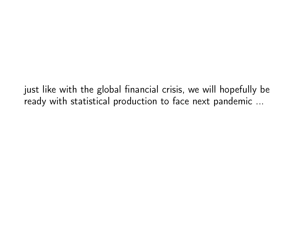just like with the global financial crisis, we will hopefully be ready with statistical production to face next pandemic ...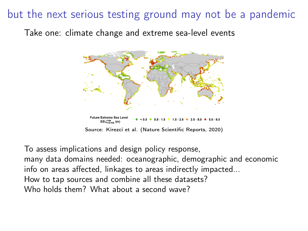#### but the next serious testing ground may not be a pandemic

Take one: climate change and extreme sea-level events



To assess implications and design policy response,

many data domains needed: oceanographic, demographic and economic info on areas affected, linkages to areas indirectly impacted... How to tap sources and combine all these datasets? Who holds them? What about a second wave?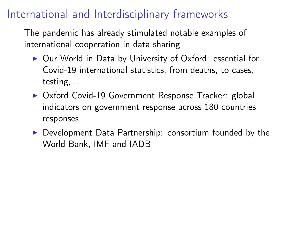# International and Interdisciplinary frameworks

The pandemic has already stimulated notable examples of international cooperation in data sharing

- $\triangleright$  [Our World in Data](https://ourworldindata.org/) by University of Oxford: essential for Covid-19 international statistics, from deaths, to cases, testing,...
- ▶ [Oxford Covid-19 Government Response Tracker:](https://www.bsg.ox.ac.uk/research/research-projects/coronavirus-government-response-tracker) global indicators on government response across 180 countries responses
- $\triangleright$  [Development Data Partnership:](https://datapartnership.org/) consortium founded by the World Bank, IMF and IADB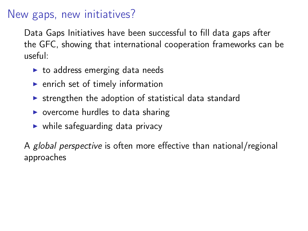#### New gaps, new initiatives?

Data Gaps Initiatives have been successful to fill data gaps after the GFC, showing that international cooperation frameworks can be useful:

- $\triangleright$  to address emerging data needs
- $\blacktriangleright$  enrich set of timely information
- $\triangleright$  strengthen the adoption of statistical data standard
- $\triangleright$  overcome hurdles to data sharing
- $\triangleright$  while safeguarding data privacy

A global perspective is often more effective than national/regional approaches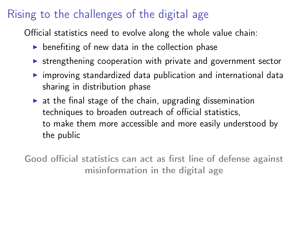# Rising to the challenges of the digital age

Official statistics need to evolve along the whole value chain:

- $\triangleright$  benefiting of new data in the collection phase
- $\triangleright$  strengthening cooperation with private and government sector
- $\triangleright$  improving standardized data publication and international data sharing in distribution phase
- $\triangleright$  at the final stage of the chain, upgrading dissemination techniques to broaden outreach of official statistics, to make them more accessible and more easily understood by the public

Good official statistics can act as first line of defense against misinformation in the digital age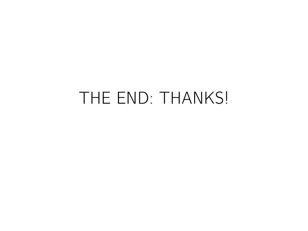# THE END: THANKS!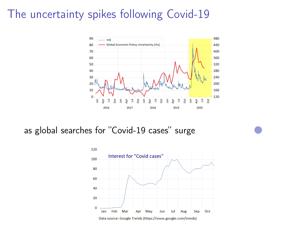#### <span id="page-17-0"></span>The uncertainty spikes following Covid-19



as global searches for "Covid-19 cases" surge